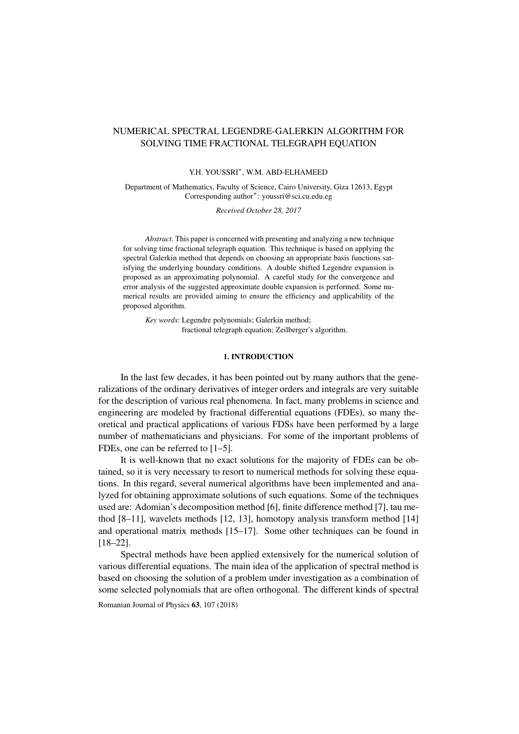## NUMERICAL SPECTRAL LEGENDRE-GALERKIN ALGORITHM FOR SOLVING TIME FRACTIONAL TELEGRAPH EQUATION

## Y.H. YOUSSRI<sup>∗</sup> , W.M. ABD-ELHAMEED

Department of Mathematics, Faculty of Science, Cairo University, Giza 12613, Egypt Corresponding author<sup>∗</sup> : youssri@sci.cu.edu.eg

*Received October 28, 2017*

*Abstract*. This paper is concerned with presenting and analyzing a new technique for solving time fractional telegraph equation. This technique is based on applying the spectral Galerkin method that depends on choosing an appropriate basis functions satisfying the underlying boundary conditions. A double shifted Legendre expansion is proposed as an approximating polynomial. A careful study for the convergence and error analysis of the suggested approximate double expansion is performed. Some numerical results are provided aiming to ensure the efficiency and applicability of the proposed algorithm.

*Key words*: Legendre polynomials; Galerkin method; fractional telegraph equation; Zeilberger's algorithm.

#### 1. INTRODUCTION

In the last few decades, it has been pointed out by many authors that the generalizations of the ordinary derivatives of integer orders and integrals are very suitable for the description of various real phenomena. In fact, many problems in science and engineering are modeled by fractional differential equations (FDEs), so many theoretical and practical applications of various FDSs have been performed by a large number of mathematicians and physicians. For some of the important problems of FDEs, one can be referred to [\[1–](#page-14-0)[5\]](#page-14-1).

It is well-known that no exact solutions for the majority of FDEs can be obtained, so it is very necessary to resort to numerical methods for solving these equations. In this regard, several numerical algorithms have been implemented and analyzed for obtaining approximate solutions of such equations. Some of the techniques used are: Adomian's decomposition method [\[6\]](#page-14-2), finite difference method [\[7\]](#page-14-3), tau method [\[8–](#page-14-4)[11\]](#page-14-5), wavelets methods [\[12,](#page-14-6) [13\]](#page-14-7), homotopy analysis transform method [\[14\]](#page-14-8) and operational matrix methods [\[15–](#page-14-9)[17\]](#page-15-0). Some other techniques can be found in [\[18](#page-15-1)[–22\]](#page-15-2).

Spectral methods have been applied extensively for the numerical solution of various differential equations. The main idea of the application of spectral method is based on choosing the solution of a problem under investigation as a combination of some selected polynomials that are often orthogonal. The different kinds of spectral

Romanian Journal of Physics 63, 107 (2018)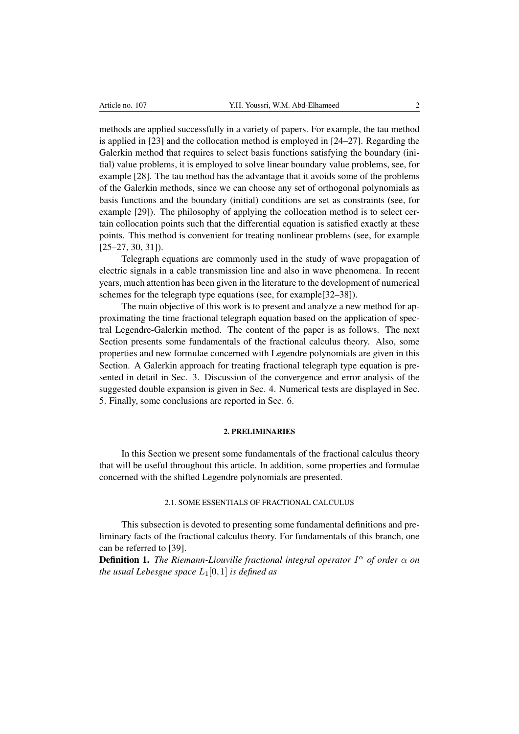methods are applied successfully in a variety of papers. For example, the tau method is applied in [\[23\]](#page-15-3) and the collocation method is employed in [\[24](#page-15-4)[–27\]](#page-15-5). Regarding the Galerkin method that requires to select basis functions satisfying the boundary (initial) value problems, it is employed to solve linear boundary value problems, see, for example [\[28\]](#page-15-6). The tau method has the advantage that it avoids some of the problems of the Galerkin methods, since we can choose any set of orthogonal polynomials as basis functions and the boundary (initial) conditions are set as constraints (see, for example [\[29\]](#page-15-7)). The philosophy of applying the collocation method is to select certain collocation points such that the differential equation is satisfied exactly at these points. This method is convenient for treating nonlinear problems (see, for example  $[25-27, 30, 31]$  $[25-27, 30, 31]$  $[25-27, 30, 31]$  $[25-27, 30, 31]$ .

Telegraph equations are commonly used in the study of wave propagation of electric signals in a cable transmission line and also in wave phenomena. In recent years, much attention has been given in the literature to the development of numerical schemes for the telegraph type equations (see, for example[\[32–](#page-15-11)[38\]](#page-15-12)).

The main objective of this work is to present and analyze a new method for approximating the time fractional telegraph equation based on the application of spectral Legendre-Galerkin method. The content of the paper is as follows. The next Section presents some fundamentals of the fractional calculus theory. Also, some properties and new formulae concerned with Legendre polynomials are given in this Section. A Galerkin approach for treating fractional telegraph type equation is presented in detail in Sec. 3. Discussion of the convergence and error analysis of the suggested double expansion is given in Sec. 4. Numerical tests are displayed in Sec. 5. Finally, some conclusions are reported in Sec. 6.

#### 2. PRELIMINARIES

In this Section we present some fundamentals of the fractional calculus theory that will be useful throughout this article. In addition, some properties and formulae concerned with the shifted Legendre polynomials are presented.

#### 2.1. SOME ESSENTIALS OF FRACTIONAL CALCULUS

This subsection is devoted to presenting some fundamental definitions and preliminary facts of the fractional calculus theory. For fundamentals of this branch, one can be referred to [\[39\]](#page-15-13).

Definition 1. *The Riemann-Liouville fractional integral operator* I <sup>α</sup> *of order* α *on the usual Lebesgue space*  $L_1[0,1]$  *is defined as*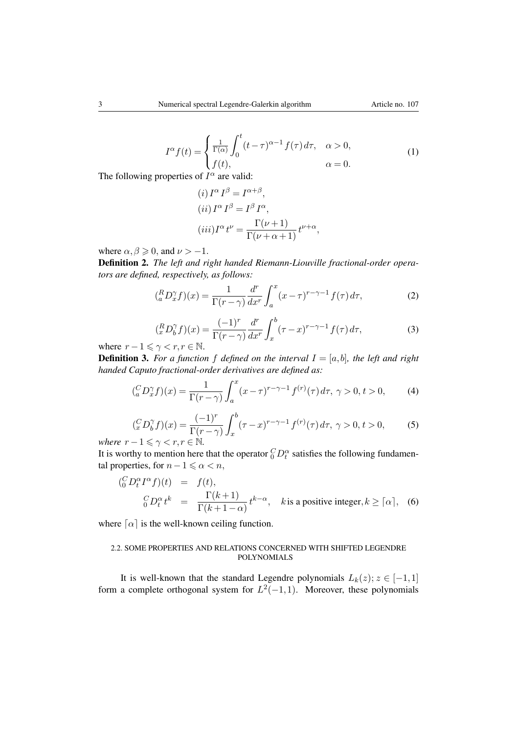$$
I^{\alpha}f(t) = \begin{cases} \frac{1}{\Gamma(\alpha)} \int_0^t (t-\tau)^{\alpha-1} f(\tau) d\tau, & \alpha > 0, \\ f(t), & \alpha = 0. \end{cases}
$$
(1)

The following properties of  $I^{\alpha}$  are valid:

$$
(i) I^{\alpha} I^{\beta} = I^{\alpha+\beta},
$$
  
\n
$$
(ii) I^{\alpha} I^{\beta} = I^{\beta} I^{\alpha},
$$
  
\n
$$
(iii) I^{\alpha} t^{\nu} = \frac{\Gamma(\nu+1)}{\Gamma(\nu+\alpha+1)} t^{\nu+\alpha},
$$

where  $\alpha, \beta \geqslant 0$ , and  $\nu > -1$ .

Definition 2. *The left and right handed Riemann-Liouville fractional-order operators are defined, respectively, as follows:*

$$
\left(^{R}_{a}D^{\gamma}_{x}f\right)(x) = \frac{1}{\Gamma(r-\gamma)}\frac{d^{r}}{dx^{r}}\int_{a}^{x}(x-\tau)^{r-\gamma-1}f(\tau)\,d\tau,\tag{2}
$$

$$
\left(\begin{array}{c} R D_0^{\gamma} f(x) = \frac{(-1)^r}{\Gamma(r - \gamma)} \frac{d^r}{dx^r} \int_x^b (\tau - x)^{r - \gamma - 1} f(\tau) d\tau, \\ 0 < r, r \in \mathbb{N} \end{array} \right) \tag{3}
$$

where  $r - 1 \leq \gamma < r, r \in \mathbb{N}$ .

**Definition 3.** For a function f defined on the interval  $I = [a, b]$ , the left and right *handed Caputo fractional-order derivatives are defined as:*

$$
\left(\begin{array}{c} C_{a}D_{x}^{\gamma}f\end{array}\right)(x) = \frac{1}{\Gamma(r-\gamma)} \int_{a}^{x} (x-\tau)^{r-\gamma-1} f^{(r)}(\tau) d\tau, \ \gamma > 0, \ t > 0,\tag{4}
$$

$$
\left(\frac{C}{x}D_b^{\gamma}f\right)(x) = \frac{(-1)^r}{\Gamma(r-\gamma)} \int_x^b (\tau-x)^{r-\gamma-1} f^{(r)}(\tau) d\tau, \ \gamma > 0, \ t > 0,\tag{5}
$$

*where*  $r - 1 \leq \gamma < r, r \in \mathbb{N}$ .

It is worthy to mention here that the operator  ${}_{0}^{C}D_{t}^{\alpha}$  satisfies the following fundamental properties, for  $n-1 \leq \alpha < n$ ,

$$
\begin{array}{rcl}\n\binom{C}{0}D_t^{\alpha}I^{\alpha}f)(t) & = & f(t), \\
\frac{C}{0}D_t^{\alpha}t^k & = & \frac{\Gamma(k+1)}{\Gamma(k+1-\alpha)}t^{k-\alpha}, \quad k \text{is a positive integer}, k \geq \lceil \alpha \rceil, \quad (6)\n\end{array}
$$

where  $\lceil \alpha \rceil$  is the well-known ceiling function.

## 2.2. SOME PROPERTIES AND RELATIONS CONCERNED WITH SHIFTED LEGENDRE POLYNOMIALS

It is well-known that the standard Legendre polynomials  $L_k(z)$ ;  $z \in [-1,1]$ form a complete orthogonal system for  $L^2(-1,1)$ . Moreover, these polynomials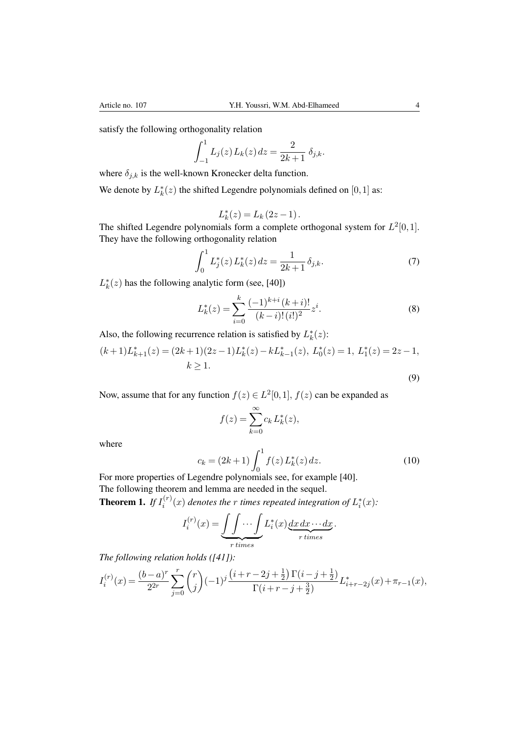satisfy the following orthogonality relation

$$
\int_{-1}^{1} L_j(z) L_k(z) dz = \frac{2}{2k+1} \delta_{j,k}.
$$

where  $\delta_{j,k}$  is the well-known Kronecker delta function.

We denote by  $L_k^*(z)$  the shifted Legendre polynomials defined on  $[0,1]$  as:

<span id="page-3-2"></span>
$$
L_k^*(z) = L_k(2z - 1).
$$

The shifted Legendre polynomials form a complete orthogonal system for  $L^2[0,1]$ . They have the following orthogonality relation

$$
\int_0^1 L_j^*(z) L_k^*(z) dz = \frac{1}{2k+1} \delta_{j,k}.
$$
 (7)

 $L_k^*(z)$  has the following analytic form (see, [\[40\]](#page-15-14))

<span id="page-3-1"></span><span id="page-3-0"></span>
$$
L_k^*(z) = \sum_{i=0}^k \frac{(-1)^{k+i} (k+i)!}{(k-i)!(i!)^2} z^i.
$$
 (8)

Also, the following recurrence relation is satisfied by  $L_k^*(z)$ :

$$
(k+1)L_{k+1}^*(z) = (2k+1)(2z-1)L_k^*(z) - kL_{k-1}^*(z), L_0^*(z) = 1, L_1^*(z) = 2z - 1,
$$
  
\n
$$
k \ge 1.
$$
\n(9)

Now, assume that for any function  $f(z) \in L^2[0,1]$ ,  $f(z)$  can be expanded as

$$
f(z) = \sum_{k=0}^{\infty} c_k L_k^*(z),
$$

where

$$
c_k = (2k+1) \int_0^1 f(z) L_k^*(z) dz.
$$
 (10)

For more properties of Legendre polynomials see, for example [\[40\]](#page-15-14). The following theorem and lemma are needed in the sequel.

**Theorem 1.** If  $I_i^{(r)}$  $\mathcal{L}_i^{(r)}(x)$  denotes the r times repeated integration of  $L_i^*(x)$ :

$$
I_i^{(r)}(x) = \underbrace{\int \int \cdots \int}_{r \text{ times}} L_i^*(x) \underbrace{dx dx \cdots dx}_{r \text{ times}}.
$$

*The following relation holds ([\[41\]](#page-15-15)):*

$$
I_i^{(r)}(x)=\frac{(b-a)^r}{2^{2r}}\sum_{j=0}^r \binom{r}{j}(-1)^j\frac{\left(i+r-2j+\frac{1}{2}\right)\Gamma(i-j+\frac{1}{2})}{\Gamma(i+r-j+\frac{3}{2})}L_{i+r-2j}^*(x)+\pi_{r-1}(x),
$$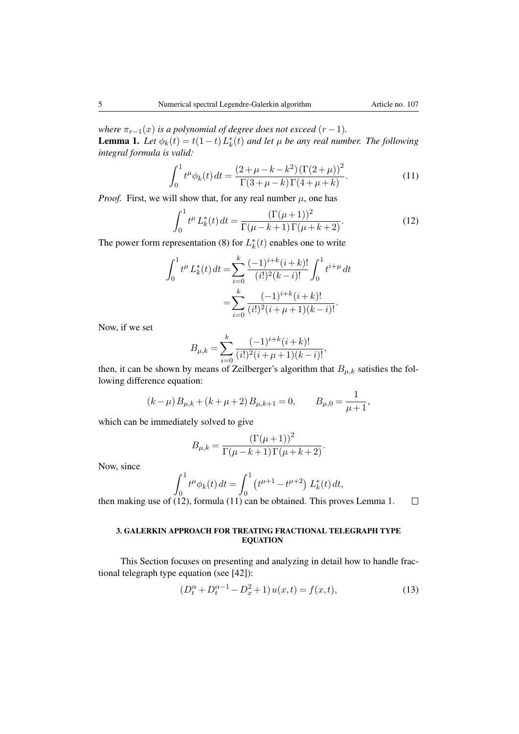<span id="page-4-2"></span>*where*  $\pi_{r-1}(x)$  *is a polynomial of degree does not exceed*  $(r-1)$ *.* **Lemma 1.** Let  $\phi_k(t) = t(1-t)L_k^*(t)$  and let  $\mu$  be any real number. The following *integral formula is valid:*

<span id="page-4-1"></span>
$$
\int_0^1 t^{\mu} \phi_k(t) dt = \frac{(2 + \mu - k - k^2) (\Gamma(2 + \mu))^2}{\Gamma(3 + \mu - k) \Gamma(4 + \mu + k)}.
$$
 (11)

*Proof.* First, we will show that, for any real number  $\mu$ , one has

<span id="page-4-0"></span>
$$
\int_0^1 t^{\mu} L_k^*(t) dt = \frac{(\Gamma(\mu+1))^2}{\Gamma(\mu - k + 1)\Gamma(\mu + k + 2)}.
$$
 (12)

The power form representation [\(8\)](#page-3-0) for  $L_k^*(t)$  enables one to write

$$
\int_0^1 t^{\mu} L_k^*(t) dt = \sum_{i=0}^k \frac{(-1)^{i+k} (i+k)!}{(i!)^2 (k-i)!} \int_0^1 t^{i+\mu} dt
$$

$$
= \sum_{i=0}^k \frac{(-1)^{i+k} (i+k)!}{(i!)^2 (i+\mu+1)(k-i)!}.
$$

Now, if we set

$$
B_{\mu,k} = \sum_{i=0}^{k} \frac{(-1)^{i+k} (i+k)!}{(i!)^2 (i+\mu+1)(k-i)!},
$$

then, it can be shown by means of Zeilberger's algorithm that  $B_{\mu,k}$  satisfies the following difference equation:

$$
(k - \mu) B_{\mu,k} + (k + \mu + 2) B_{\mu,k+1} = 0, \qquad B_{\mu,0} = \frac{1}{\mu + 1},
$$

which can be immediately solved to give

$$
B_{\mu,k} = \frac{(\Gamma(\mu+1))^2}{\Gamma(\mu-k+1)\Gamma(\mu+k+2)}.
$$

Now, since

$$
\int_0^1 t^{\mu} \phi_k(t) dt = \int_0^1 (t^{\mu+1} - t^{\mu+2}) L_k^*(t) dt,
$$

 $\Box$ then making use of [\(12\)](#page-4-0), formula [\(11\)](#page-4-1) can be obtained. This proves Lemma [1.](#page-4-2)

#### 3. GALERKIN APPROACH FOR TREATING FRACTIONAL TELEGRAPH TYPE **EQUATION**

This Section focuses on presenting and analyzing in detail how to handle fractional telegraph type equation (see [\[42\]](#page-15-16)):

<span id="page-4-3"></span>
$$
(D_t^{\alpha} + D_t^{\alpha - 1} - D_x^2 + 1)u(x, t) = f(x, t),
$$
\n(13)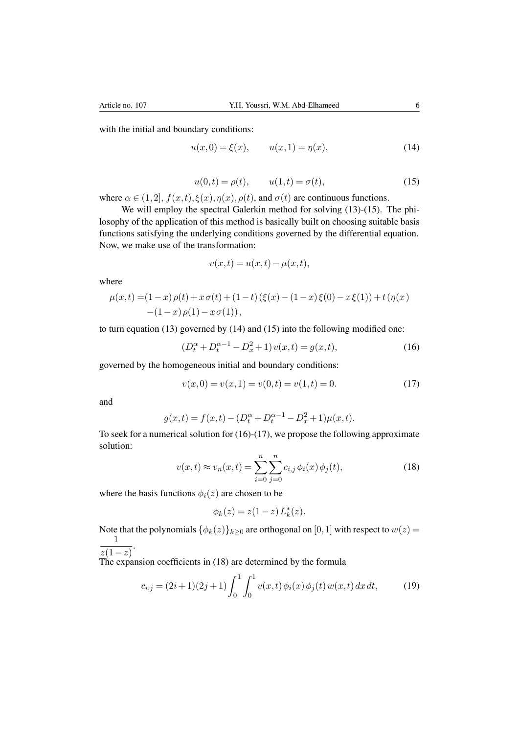<span id="page-5-0"></span>with the initial and boundary conditions:

<span id="page-5-1"></span>
$$
u(x,0) = \xi(x), \qquad u(x,1) = \eta(x), \tag{14}
$$

$$
u(0,t) = \rho(t),
$$
  $u(1,t) = \sigma(t),$  (15)

where  $\alpha \in (1,2]$ ,  $f(x,t)$ ,  $\xi(x)$ ,  $\eta(x)$ ,  $\rho(t)$ , and  $\sigma(t)$  are continuous functions.

We will employ the spectral Galerkin method for solving  $(13)-(15)$  $(13)-(15)$  $(13)-(15)$ . The philosophy of the application of this method is basically built on choosing suitable basis functions satisfying the underlying conditions governed by the differential equation. Now, we make use of the transformation:

<span id="page-5-2"></span>
$$
v(x,t) = u(x,t) - \mu(x,t),
$$

where

$$
\mu(x,t) = (1-x)\rho(t) + x\sigma(t) + (1-t)(\xi(x) - (1-x)\xi(0) - x\xi(1)) + t(\eta(x))
$$
  
-(1-x)\rho(1) - x\sigma(1)),

to turn equation [\(13\)](#page-4-3) governed by [\(14\)](#page-5-1) and [\(15\)](#page-5-0) into the following modified one:

<span id="page-5-3"></span>
$$
(D_t^{\alpha} + D_t^{\alpha - 1} - D_x^2 + 1)v(x, t) = g(x, t),
$$
\n(16)

governed by the homogeneous initial and boundary conditions:

$$
v(x,0) = v(x,1) = v(0,t) = v(1,t) = 0.
$$
\n(17)

and

$$
g(x,t) = f(x,t) - (D_t^{\alpha} + D_t^{\alpha-1} - D_x^2 + 1)\mu(x,t).
$$

<span id="page-5-4"></span>To seek for a numerical solution for  $(16)-(17)$  $(16)-(17)$  $(16)-(17)$ , we propose the following approximate solution:

$$
v(x,t) \approx v_n(x,t) = \sum_{i=0}^n \sum_{j=0}^n c_{i,j} \phi_i(x) \phi_j(t),
$$
 (18)

where the basis functions  $\phi_i(z)$  are chosen to be

<span id="page-5-5"></span>
$$
\phi_k(z) = z(1-z) L_k^*(z).
$$

Note that the polynomials  $\{\phi_k(z)\}_{k\geq 0}$  are orthogonal on [0, 1] with respect to  $w(z)$  = 1  $\frac{1}{z(1-z)}$ 

The expansion coefficients in [\(18\)](#page-5-4) are determined by the formula

$$
c_{i,j} = (2i+1)(2j+1)\int_0^1 \int_0^1 v(x,t)\,\phi_i(x)\,\phi_j(t)\,w(x,t)\,dx\,dt,\tag{19}
$$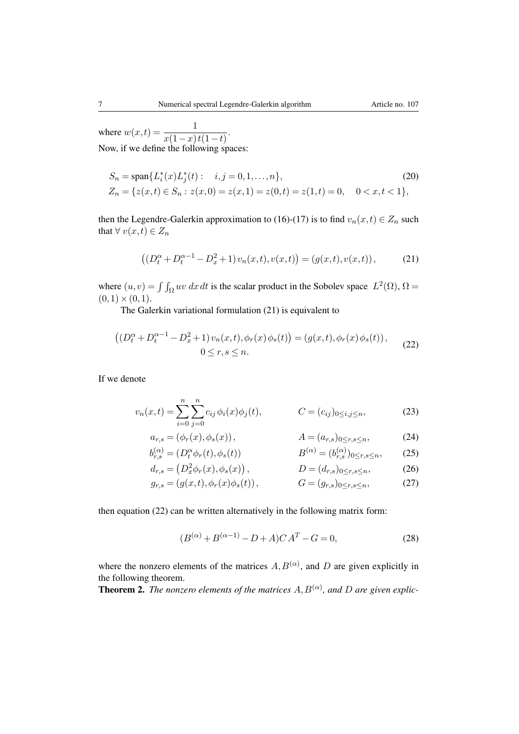where  $w(x,t) = \frac{1}{x(1-x)t(1-t)}$ . Now, if we define the following spaces:

$$
S_n = \text{span}\{L_i^*(x)L_j^*(t): \quad i,j = 0,1,\ldots,n\},\tag{20}
$$
\n
$$
Z_n = \{z(x,t) \in S_n : z(x,0) = z(x,1) = z(0,t) = z(1,t) = 0, \quad 0 < x,t < 1\},
$$

then the Legendre-Galerkin approximation to [\(16\)](#page-5-2)-[\(17\)](#page-5-3) is to find  $v_n(x,t) \in Z_n$  such that  $\forall v(x,t) \in Z_n$ 

<span id="page-6-1"></span><span id="page-6-0"></span>
$$
((D_t^{\alpha} + D_t^{\alpha - 1} - D_x^2 + 1)v_n(x, t), v(x, t)) = (g(x, t), v(x, t)),
$$
 (21)

where  $(u, v) = \int \int_{\Omega} uv \, dx \, dt$  is the scalar product in the Sobolev space  $L^2(\Omega)$ ,  $\Omega =$  $(0,1)\times(0,1).$ 

The Galerkin variational formulation [\(21\)](#page-6-0) is equivalent to

$$
((D_t^{\alpha} + D_t^{\alpha - 1} - D_x^2 + 1) v_n(x, t), \phi_r(x) \phi_s(t)) = (g(x, t), \phi_r(x) \phi_s(t)),
$$
  
0 \le r, s \le n. (22)

If we denote

$$
v_n(x,t) = \sum_{i=0}^n \sum_{j=0}^n c_{ij} \phi_i(x) \phi_j(t), \qquad C = (c_{ij})_{0 \le i,j \le n}, \qquad (23)
$$

$$
a_{r,s} = (\phi_r(x), \phi_s(x)), \qquad A = (a_{r,s})_{0 \le r, s \le n}, \qquad (24)
$$
  

$$
b^{(\alpha)} = (D^{\alpha} \phi_r(x), \phi_r(x)) \qquad R^{(\alpha)} = (b^{(\alpha)})_{0 \le r, s \le n}, \qquad (25)
$$

$$
b_{r,s}^{(\alpha)} = (D_t^{\alpha} \phi_r(t), \phi_s(t)) \qquad B^{(\alpha)} = (b_{r,s}^{(\alpha)})_{0 \le r, s \le n}, \qquad (25)
$$

$$
d_{r,s} = (D_x^2 \phi_r(x), \phi_s(x)), \qquad D = (d_{r,s})_{0 \le r, s \le n}, \qquad (26)
$$

$$
g_{r,s} = (g(x,t), \phi_r(x)\phi_s(t)), \qquad G = (g_{r,s})_{0 \le r,s \le n}, \qquad (27)
$$

then equation [\(22\)](#page-6-1) can be written alternatively in the following matrix form:

$$
(B^{(\alpha)} + B^{(\alpha - 1)} - D + A)CA^T - G = 0,
$$
\n(28)

where the nonzero elements of the matrices  $A, B^{(\alpha)}$ , and D are given explicitly in the following theorem.

**Theorem 2.** The nonzero elements of the matrices  $A, B^{(\alpha)}$ , and D are given explic-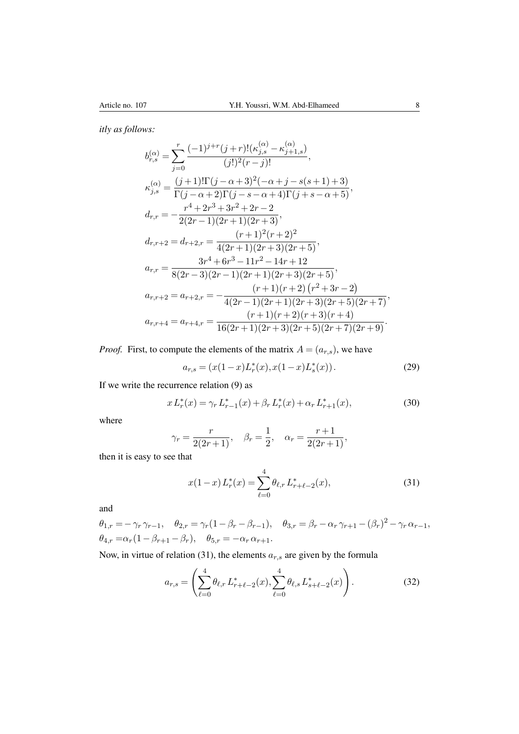*itly as follows:*

$$
b_{r,s}^{(\alpha)} = \sum_{j=0}^{r} \frac{(-1)^{j+r} (j+r)!(\kappa_{j,s}^{(\alpha)} - \kappa_{j+1,s}^{(\alpha)})}{(j!)^2 (r-j)!},
$$
  
\n
$$
\kappa_{j,s}^{(\alpha)} = \frac{(j+1)!\Gamma(j-\alpha+3)^2(-\alpha+j-s(s+1)+3)}{\Gamma(j-\alpha+2)\Gamma(j-s-\alpha+4)\Gamma(j+s-\alpha+5)},
$$
  
\n
$$
d_{r,r} = -\frac{r^4+2r^3+3r^2+2r-2}{2(2r-1)(2r+1)(2r+3)},
$$
  
\n
$$
d_{r,r+2} = d_{r+2,r} = \frac{(r+1)^2(r+2)^2}{4(2r+1)(2r+3)(2r+5)},
$$
  
\n
$$
a_{r,r} = \frac{3r^4+6r^3-11r^2-14r+12}{8(2r-3)(2r-1)(2r+1)(2r+3)(2r+5)},
$$
  
\n
$$
a_{r,r+2} = a_{r+2,r} = -\frac{(r+1)(r+2)(r^2+3r-2)}{4(2r-1)(2r+1)(2r+3)(2r+5)(2r+7)},
$$
  
\n
$$
a_{r,r+4} = a_{r+4,r} = \frac{(r+1)(r+2)(r+3)(2r+5)(2r+7)}{16(2r+1)(2r+3)(2r+5)(2r+7)(2r+9)}.
$$

*Proof.* First, to compute the elements of the matrix  $A = (a_{r,s})$ , we have

$$
a_{r,s} = (x(1-x)L_r^*(x), x(1-x)L_s^*(x)).
$$
\n(29)

If we write the recurrence relation [\(9\)](#page-3-1) as

$$
x L_r^*(x) = \gamma_r L_{r-1}^*(x) + \beta_r L_r^*(x) + \alpha_r L_{r+1}^*(x),
$$
\n(30)

where

$$
\gamma_r = \frac{r}{2(2r+1)}, \quad \beta_r = \frac{1}{2}, \quad \alpha_r = \frac{r+1}{2(2r+1)},
$$

then it is easy to see that

<span id="page-7-1"></span><span id="page-7-0"></span>
$$
x(1-x)L_r^*(x) = \sum_{\ell=0}^4 \theta_{\ell,r} L_{r+\ell-2}^*(x),\tag{31}
$$

and

$$
\theta_{1,r} = -\gamma_r \gamma_{r-1}, \quad \theta_{2,r} = \gamma_r (1 - \beta_r - \beta_{r-1}), \quad \theta_{3,r} = \beta_r - \alpha_r \gamma_{r+1} - (\beta_r)^2 - \gamma_r \alpha_{r-1},
$$
  

$$
\theta_{4,r} = \alpha_r (1 - \beta_{r+1} - \beta_r), \quad \theta_{5,r} = -\alpha_r \alpha_{r+1}.
$$

Now, in virtue of relation [\(31\)](#page-7-0), the elements  $a_{r,s}$  are given by the formula

$$
a_{r,s} = \left(\sum_{\ell=0}^{4} \theta_{\ell,r} L_{r+\ell-2}^*(x), \sum_{\ell=0}^{4} \theta_{\ell,s} L_{s+\ell-2}^*(x)\right).
$$
 (32)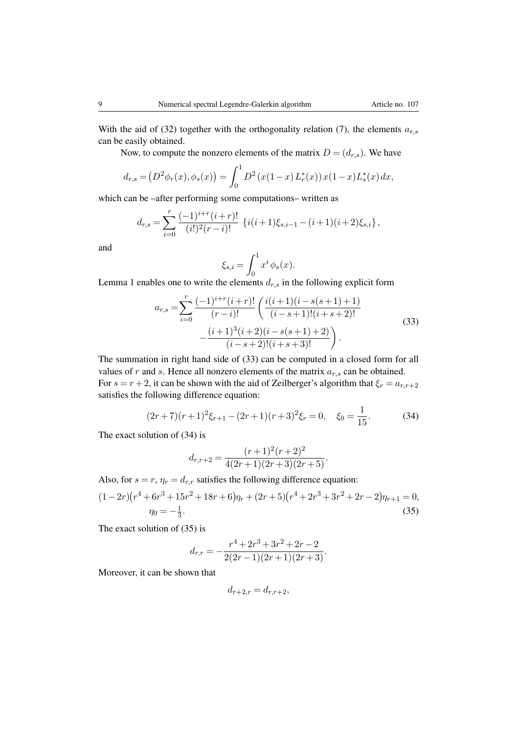With the aid of [\(32\)](#page-7-1) together with the orthogonality relation [\(7\)](#page-3-2), the elements  $a_{r,s}$ can be easily obtained.

Now, to compute the nonzero elements of the matrix  $D = (d_{r,s})$ . We have

$$
d_{r,s} = (D^2 \phi_r(x), \phi_s(x)) = \int_0^1 D^2(x(1-x)L_r^*(x))x(1-x)L_s^*(x) dx,
$$

which can be –after performing some computations– written as

$$
d_{r,s} = \sum_{i=0}^r \frac{(-1)^{i+r}(i+r)!}{(i!)^2(r-i)!} \left\{ i(i+1)\xi_{s,i-1} - (i+1)(i+2)\xi_{s,i} \right\},\,
$$

and

<span id="page-8-0"></span>
$$
\xi_{s,i} = \int_0^1 x^i \phi_s(x).
$$

Lemma [1](#page-4-2) enables one to write the elements  $d_{r,s}$  in the following explicit form

$$
a_{r,s} = \sum_{i=0}^{r} \frac{(-1)^{i+r}(i+r)!}{(r-i)!} \left( \frac{i(i+1)(i-s(s+1)+1)}{(i-s+1)!(i+s+2)!} - \frac{(i+1)^3(i+2)(i-s(s+1)+2)}{(i-s+2)!(i+s+3)!} \right).
$$
\n(33)

The summation in right hand side of [\(33\)](#page-8-0) can be computed in a closed form for all values of r and s. Hence all nonzero elements of the matrix  $a_{r,s}$  can be obtained. For  $s = r + 2$ , it can be shown with the aid of Zeilberger's algorithm that  $\xi_r = a_{r,r+2}$ satisfies the following difference equation:

$$
(2r+7)(r+1)^2\xi_{r+1} - (2r+1)(r+3)^2\xi_r = 0, \quad \xi_0 = \frac{1}{15}.
$$
 (34)

The exact solution of [\(34\)](#page-8-1) is

<span id="page-8-1"></span>
$$
d_{r,r+2} = \frac{(r+1)^2(r+2)^2}{4(2r+1)(2r+3)(2r+5)}.
$$

Also, for  $s = r$ ,  $\eta_r = d_{r,r}$  satisfies the following difference equation:

$$
(1-2r)(r^4+6r^3+15r^2+18r+6)\eta_r+(2r+5)(r^4+2r^3+3r^2+2r-2)\eta_{r+1}=0,
$$
  

$$
\eta_0=-\frac{1}{3}.
$$
 (35)

The exact solution of [\(35\)](#page-8-2) is

$$
d_{r,r} = -\frac{r^4 + 2r^3 + 3r^2 + 2r - 2}{2(2r - 1)(2r + 1)(2r + 3)}.
$$

Moreover, it can be shown that

<span id="page-8-2"></span>
$$
d_{r+2,r} = d_{r,r+2},
$$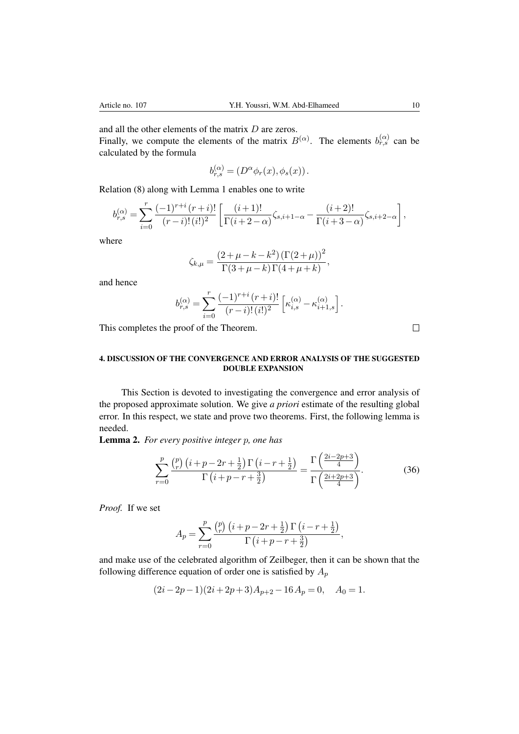and all the other elements of the matrix D are zeros.

Finally, we compute the elements of the matrix  $B^{(\alpha)}$ . The elements  $b_{r,s}^{(\alpha)}$  can be calculated by the formula

$$
b_{r,s}^{(\alpha)} = (D^{\alpha} \phi_r(x), \phi_s(x)).
$$

Relation [\(8\)](#page-3-0) along with Lemma [1](#page-4-2) enables one to write

$$
b_{r,s}^{(\alpha)} = \sum_{i=0}^r \frac{(-1)^{r+i}\,(r+i)!}{(r-i)!\,(i!)^2} \left[ \frac{(i+1)!}{\Gamma(i+2-\alpha)} \zeta_{s,i+1-\alpha} - \frac{(i+2)!}{\Gamma(i+3-\alpha)} \zeta_{s,i+2-\alpha} \right],
$$

where

$$
\zeta_{k,\mu} = \frac{(2 + \mu - k - k^2) (\Gamma(2 + \mu))^2}{\Gamma(3 + \mu - k) \Gamma(4 + \mu + k)},
$$

and hence

$$
b_{r,s}^{(\alpha)} = \sum_{i=0}^r \frac{(-1)^{r+i}\,(r+i)!}{(r-i)!\,(i!)^2} \left[ \kappa_{i,s}^{(\alpha)} - \kappa_{i+1,s}^{(\alpha)} \right].
$$

This completes the proof of the Theorem.

### 4. DISCUSSION OF THE CONVERGENCE AND ERROR ANALYSIS OF THE SUGGESTED DOUBLE EXPANSION

This Section is devoted to investigating the convergence and error analysis of the proposed approximate solution. We give *a priori* estimate of the resulting global error. In this respect, we state and prove two theorems. First, the following lemma is needed.

<span id="page-9-0"></span>Lemma 2. *For every positive integer* p*, one has*

$$
\sum_{r=0}^{p} \frac{\binom{p}{r} \left(i+p-2r+\frac{1}{2}\right) \Gamma\left(i-r+\frac{1}{2}\right)}{\Gamma\left(i+p-r+\frac{3}{2}\right)} = \frac{\Gamma\left(\frac{2i-2p+3}{4}\right)}{\Gamma\left(\frac{2i+2p+3}{4}\right)}.
$$
(36)

*Proof.* If we set

$$
A_p = \sum_{r=0}^p \frac{\binom{p}{r} \left(i+p-2r+\frac{1}{2}\right) \Gamma\left(i-r+\frac{1}{2}\right)}{\Gamma\left(i+p-r+\frac{3}{2}\right)},
$$

and make use of the celebrated algorithm of Zeilbeger, then it can be shown that the following difference equation of order one is satisfied by  $A_p$ 

$$
(2i - 2p - 1)(2i + 2p + 3)A_{p+2} - 16A_p = 0, \quad A_0 = 1.
$$

 $\Box$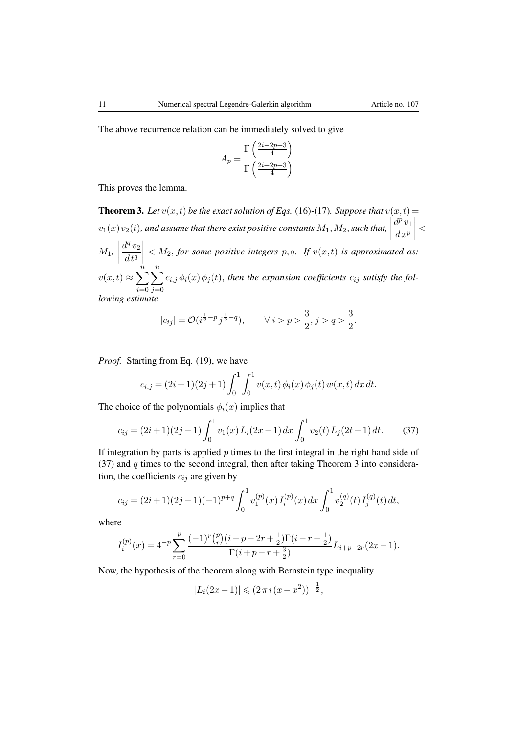$\Box$ 

The above recurrence relation can be immediately solved to give

$$
A_p = \frac{\Gamma\left(\frac{2i - 2p + 3}{4}\right)}{\Gamma\left(\frac{2i + 2p + 3}{4}\right)}.
$$

This proves the lemma.

<span id="page-10-1"></span>**Theorem 3.** Let  $v(x,t)$  be the exact solution of Eqs. [\(16\)](#page-5-2)-[\(17\)](#page-5-3). Suppose that  $v(x,t)$  =  $v_1(x)v_2(t)$ , and assume that there exist positive constants  $M_1, M_2$ , such that,  $\Big|$  $d^p v_1$  $dx^p$  $\begin{array}{c} \begin{array}{c} \begin{array}{c} \end{array} \\ \begin{array}{c} \end{array} \end{array} \end{array}$  $\lt$  $M_1,$  $d^q v_2$  $dt^q$  $\begin{matrix} \frac{1}{2} & \frac{1}{2} \\ \frac{1}{2} & \frac{1}{2} \\ \frac{1}{2} & \frac{1}{2} \end{matrix}$  $<$   $M_2$ , for some positive integers p, q. If  $v(x,t)$  is approximated as:  $v(x,t) \approx \sum_{n=1}^{\infty}$  $i=0$  $\sum_{n=1}^{\infty}$  $j=0$  $c_{i,j} \phi_i(x) \phi_j(t)$ , then the expansion coefficients  $c_{ij}$  satisfy the fol*lowing estimate*

$$
|c_{ij}| = \mathcal{O}(i^{\frac{1}{2}-p} j^{\frac{1}{2}-q}), \qquad \forall \ i > p > \frac{3}{2}, j > q > \frac{3}{2}.
$$

*Proof.* Starting from Eq. [\(19\)](#page-5-5), we have

<span id="page-10-0"></span>
$$
c_{i,j} = (2i+1)(2j+1)\int_0^1 \int_0^1 v(x,t)\,\phi_i(x)\,\phi_j(t)\,w(x,t)\,dx\,dt.
$$

The choice of the polynomials  $\phi_i(x)$  implies that

$$
c_{ij} = (2i+1)(2j+1)\int_0^1 v_1(x) L_i(2x-1) dx \int_0^1 v_2(t) L_j(2t-1) dt.
$$
 (37)

If integration by parts is applied  $p$  times to the first integral in the right hand side of [\(37\)](#page-10-0) and  $q$  times to the second integral, then after taking Theorem [3](#page-10-1) into consideration, the coefficients  $c_{ij}$  are given by

$$
c_{ij} = (2i+1)(2j+1)(-1)^{p+q} \int_0^1 v_1^{(p)}(x) I_i^{(p)}(x) dx \int_0^1 v_2^{(q)}(t) I_j^{(q)}(t) dt,
$$

where

$$
I_i^{(p)}(x) = 4^{-p} \sum_{r=0}^p \frac{(-1)^r \binom{p}{r} \left(i+p-2r+\frac{1}{2}\right) \Gamma(i-r+\frac{1}{2})}{\Gamma(i+p-r+\frac{3}{2})} L_{i+p-2r}(2x-1).
$$

Now, the hypothesis of the theorem along with Bernstein type inequality

$$
|L_i(2x-1)| \leqslant (2\pi i (x-x^2))^{-\frac{1}{2}},
$$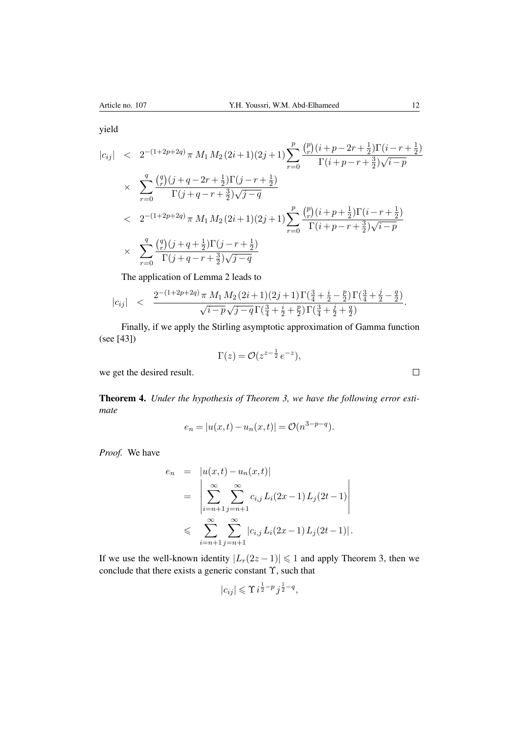yield

$$
|c_{ij}| < 2^{-(1+2p+2q)} \pi M_1 M_2 (2i+1)(2j+1) \sum_{r=0}^p \frac{\binom{p}{r} (i+p-2r+\frac{1}{2}) \Gamma(i-r+\frac{1}{2})}{\Gamma(i+p-r+\frac{3}{2})\sqrt{i-p}}
$$
  
 
$$
\times \sum_{r=0}^q \frac{\binom{q}{r} (j+q-2r+\frac{1}{2}) \Gamma(j-r+\frac{1}{2})}{\Gamma(j+q-r+\frac{3}{2})\sqrt{j-q}}
$$
  
 
$$
< 2^{-(1+2p+2q)} \pi M_1 M_2 (2i+1)(2j+1) \sum_{r=0}^p \frac{\binom{p}{r} (i+p+\frac{1}{2}) \Gamma(i-r+\frac{1}{2})}{\Gamma(i+p-r+\frac{3}{2})\sqrt{i-p}}
$$
  
 
$$
\times \sum_{r=0}^q \frac{\binom{q}{r} (j+q+\frac{1}{2}) \Gamma(j-r+\frac{1}{2})}{\Gamma(j+q-r+\frac{3}{2})\sqrt{j-q}}
$$

The application of Lemma [2](#page-9-0) leads to

$$
|c_{ij}|\quad < \quad \frac{2^{-(1+2p+2q)}\,\pi\;M_1\,M_2\,(2i+1)(2j+1)\,\Gamma(\frac{3}{4}+\frac{i}{2}-\frac{p}{2})\,\Gamma(\frac{3}{4}+\frac{j}{2}-\frac{q}{2})}{\sqrt{i-p}\,\sqrt{j-q}\,\Gamma(\frac{3}{4}+\frac{i}{2}+\frac{p}{2})\,\Gamma(\frac{3}{4}+\frac{j}{2}+\frac{q}{2})}.
$$

Finally, if we apply the Stirling asymptotic approximation of Gamma function (see [\[43\]](#page-15-17))

$$
\Gamma(z) = \mathcal{O}(z^{z-\frac{1}{2}}e^{-z}),
$$

we get the desired result.

Theorem 4. *Under the hypothesis of Theorem [3,](#page-10-1) we have the following error estimate*

$$
e_n = |u(x,t) - u_n(x,t)| = \mathcal{O}(n^{3-p-q}).
$$

*Proof.* We have

$$
e_n = |u(x,t) - u_n(x,t)|
$$
  
= 
$$
\left| \sum_{i=n+1}^{\infty} \sum_{j=n+1}^{\infty} c_{i,j} L_i(2x-1) L_j(2t-1) \right|
$$
  

$$
\leqslant \sum_{i=n+1}^{\infty} \sum_{j=n+1}^{\infty} |c_{i,j} L_i(2x-1) L_j(2t-1)|.
$$

If we use the well-known identity  $|L_r(2z-1)| \leq 1$  and apply Theorem [3,](#page-10-1) then we conclude that there exists a generic constant  $\Upsilon$ , such that

$$
|c_{ij}| \leqslant \Upsilon i^{\frac{1}{2}-p} j^{\frac{1}{2}-q},
$$

 $\Box$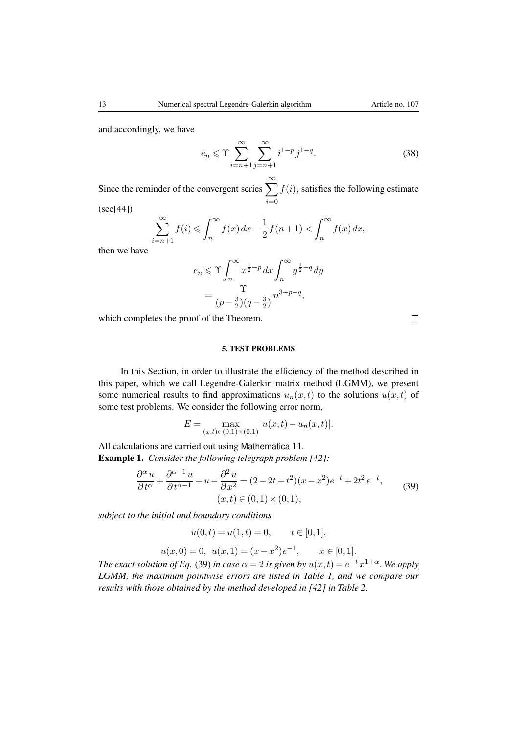$$
e_n \leqslant \Upsilon \sum_{i=n+1}^{\infty} \sum_{j=n+1}^{\infty} i^{1-p} j^{1-q}.
$$
 (38)

Since the reminder of the convergent series  $\sum_{n=1}^{\infty}$  $i=0$  $f(i)$ , satisfies the following estimate

(see[\[44\]](#page-15-18))

$$
\sum_{i=n+1}^{\infty} f(i) \leqslant \int_{n}^{\infty} f(x) dx - \frac{1}{2} f(n+1) < \int_{n}^{\infty} f(x) dx,
$$

then we have

$$
e_n \leq \Upsilon \int_n^{\infty} x^{\frac{1}{2}-p} dx \int_n^{\infty} y^{\frac{1}{2}-q} dy
$$
  
= 
$$
\frac{\Upsilon}{(p-\frac{3}{2})(q-\frac{3}{2})} n^{3-p-q},
$$

which completes the proof of the Theorem.

 $\Box$ 

#### 5. TEST PROBLEMS

In this Section, in order to illustrate the efficiency of the method described in this paper, which we call Legendre-Galerkin matrix method (LGMM), we present some numerical results to find approximations  $u_n(x,t)$  to the solutions  $u(x,t)$  of some test problems. We consider the following error norm,

<span id="page-12-0"></span>
$$
E = \max_{(x,t) \in (0,1) \times (0,1)} |u(x,t) - u_n(x,t)|.
$$

All calculations are carried out using Mathematica 11. Example 1. *Consider the following telegraph problem [\[42\]](#page-15-16):* 

$$
\frac{\partial^{\alpha} u}{\partial t^{\alpha}} + \frac{\partial^{\alpha-1} u}{\partial t^{\alpha-1}} + u - \frac{\partial^2 u}{\partial x^2} = (2 - 2t + t^2)(x - x^2)e^{-t} + 2t^2e^{-t},
$$
\n(39)  
\n
$$
(x, t) \in (0, 1) \times (0, 1),
$$

*subject to the initial and boundary conditions*

$$
u(0,t) = u(1,t) = 0, \qquad t \in [0,1],
$$

$$
u(x, 0) = 0
$$
,  $u(x, 1) = (x - x^2)e^{-1}$ ,  $x \in [0, 1]$ .

*The exact solution of Eq.* [\(39\)](#page-12-0) *in case*  $\alpha = 2$  *is given by*  $u(x,t) = e^{-t} x^{1+\alpha}$ . We apply *LGMM, the maximum pointwise errors are listed in Table [1,](#page-13-0) and we compare our results with those obtained by the method developed in [\[42\]](#page-15-16) in Table [2.](#page-13-1)*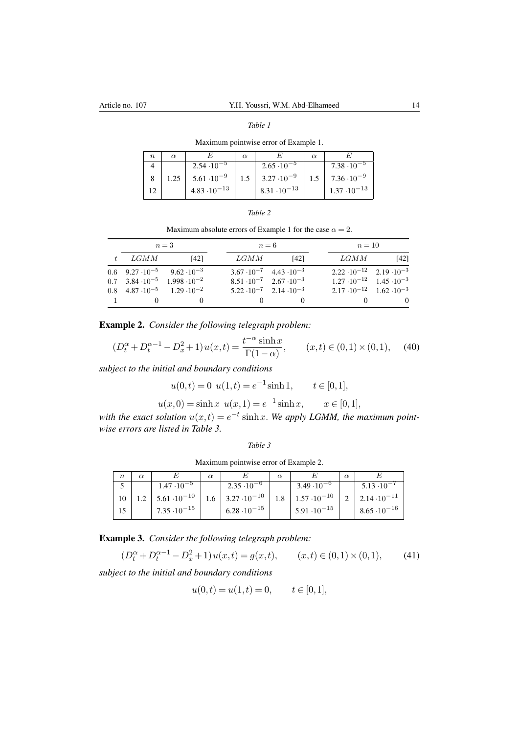# <span id="page-13-0"></span>*Table 1* Maximum pointwise error of Example [1.](#page-13-1)

|      |                       | $\alpha$ |                       | $\alpha$ |                       |
|------|-----------------------|----------|-----------------------|----------|-----------------------|
|      | $2.54 \cdot 10^{-5}$  |          | $2.65 \cdot 10^{-5}$  |          | $7.38 \cdot 10^{-5}$  |
| 1.25 | $5.61 \cdot 10^{-9}$  | 1.5      | $3.27 \cdot 10^{-9}$  | 1.5      | $7.36 \cdot 10^{-9}$  |
|      | $4.83 \cdot 10^{-13}$ |          | $8.31 \cdot 10^{-13}$ |          | $1.37 \cdot 10^{-13}$ |

| ,,,, |  |
|------|--|
|------|--|

<span id="page-13-1"></span>Maximum absolute errors of Example [1](#page-13-1) for the case  $\alpha = 2$ .

|         |      | $n=3$                                            |      | $n=6$                                     |                                            | $n=10$ |  |  |
|---------|------|--------------------------------------------------|------|-------------------------------------------|--------------------------------------------|--------|--|--|
| $t_{-}$ | LGMM | [42]                                             | LGMM | [42]                                      | LGMM                                       | [42]   |  |  |
|         |      | 0.6 $9.27 \cdot 10^{-5}$ 9.62 $\cdot 10^{-3}$    |      | $3.67 \cdot 10^{-7}$ $4.43 \cdot 10^{-3}$ | $2.22 \cdot 10^{-12}$ $2.19 \cdot 10^{-3}$ |        |  |  |
|         |      | $0.7$ 3.84 $\cdot 10^{-5}$ 1.998 $\cdot 10^{-2}$ |      | $8.51 \cdot 10^{-7}$ $2.67 \cdot 10^{-3}$ | $1.27 \cdot 10^{-12}$ 1.45 $\cdot 10^{-3}$ |        |  |  |
|         |      | 0.8 $4.87 \cdot 10^{-5}$ 1.29 $\cdot 10^{-2}$    |      | $5.22 \cdot 10^{-7}$ $2.14 \cdot 10^{-3}$ | $2.17 \cdot 10^{-12}$ $1.62 \cdot 10^{-3}$ |        |  |  |
|         |      |                                                  |      |                                           |                                            |        |  |  |

Example 2. *Consider the following telegraph problem:*

$$
(D_t^{\alpha} + D_t^{\alpha - 1} - D_x^2 + 1) u(x, t) = \frac{t^{-\alpha} \sinh x}{\Gamma(1 - \alpha)}, \qquad (x, t) \in (0, 1) \times (0, 1), \tag{40}
$$

*subject to the initial and boundary conditions*

 $u(0,t) = 0$   $u(1,t) = e^{-1} \sinh 1$ ,  $t \in [0,1]$ ,

$$
u(x,0) = \sinh x \ u(x,1) = e^{-1} \sinh x, \qquad x \in [0,1],
$$

*with the exact solution*  $u(x,t) = e^{-t} \sinh x$ . We apply LGMM, the maximum point*wise errors are listed in Table [3.](#page-13-2)*

<span id="page-13-3"></span>

<span id="page-13-2"></span>Maximum pointwise error of Example [2.](#page-13-2)

| $\boldsymbol{n}$ | $\alpha$ |                                       | $\alpha$ |                                        |     |                        | $\alpha$ |                             |
|------------------|----------|---------------------------------------|----------|----------------------------------------|-----|------------------------|----------|-----------------------------|
|                  |          | $1.47 \cdot 10^{-5}$                  |          | $2.35 \cdot 10^{-6}$                   |     | $3.49 \cdot 10^{-6}$   |          | $5.13 \cdot 10^{-7}$        |
| 10               |          | $\frac{1}{2}$ 5.61 $\cdot 10^{-10}$ + | 1.6      | $\pm$ 3.27 $\cdot$ 10 <sup>-10</sup> + | 1.8 | $+1.57 \cdot 10^{-10}$ |          | $\pm 2.14 \cdot 10^{-11}$ . |
|                  |          | $7.35 \cdot 10^{-15}$                 |          | $6.28 \cdot 10^{-15}$                  |     | $5.91 \cdot 10^{-15}$  |          | $8.65 \cdot 10^{-16}$       |

Example 3. *Consider the following telegraph problem:*

$$
(D_t^{\alpha} + D_t^{\alpha - 1} - D_x^2 + 1)u(x, t) = g(x, t), \qquad (x, t) \in (0, 1) \times (0, 1), \tag{41}
$$

*subject to the initial and boundary conditions*

$$
u(0,t) = u(1,t) = 0, \qquad t \in [0,1],
$$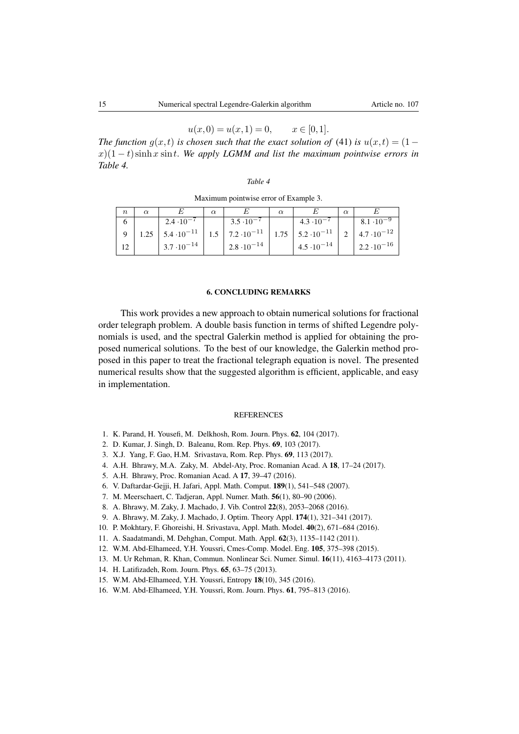$$
u(x,0) = u(x,1) = 0, \qquad x \in [0,1].
$$

*The function*  $g(x,t)$  *is chosen such that the exact solution of* [\(41\)](#page-13-3) *is*  $u(x,t) = (1-t)^{-1}$  $x(1-t)$  sinh x sint. We apply LGMM and list the maximum pointwise errors in *Table [4.](#page-14-10)*

|  | Table 4 |  |
|--|---------|--|
|--|---------|--|

<span id="page-14-10"></span>Maximum pointwise error of Example [3.](#page-14-10)

| $\boldsymbol{n}$ |      |                      | $\alpha$ |                      |      |                      |                      |
|------------------|------|----------------------|----------|----------------------|------|----------------------|----------------------|
|                  |      | $2.4 \cdot 10^{-7}$  |          | $3.5 \cdot 10^{-7}$  |      | $4.3 \cdot 10$       | $8.1 \cdot 10^{-7}$  |
|                  | 1.25 | $5.4 \cdot 10^{-11}$ |          | $7.2 \cdot 10^{-11}$ | 1.75 | $5.2 \cdot 10^{-11}$ | $4.7 \cdot 10^{-12}$ |
|                  |      | $3.7 \cdot 10^{-14}$ |          | $2.8 \cdot 10^{-14}$ |      | $4.5 \cdot 10^{-14}$ | $2.2 \cdot 10^{-16}$ |

#### 6. CONCLUDING REMARKS

This work provides a new approach to obtain numerical solutions for fractional order telegraph problem. A double basis function in terms of shifted Legendre polynomials is used, and the spectral Galerkin method is applied for obtaining the proposed numerical solutions. To the best of our knowledge, the Galerkin method proposed in this paper to treat the fractional telegraph equation is novel. The presented numerical results show that the suggested algorithm is efficient, applicable, and easy in implementation.

#### REFERENCES

- <span id="page-14-0"></span>1. K. Parand, H. Yousefi, M. Delkhosh, Rom. Journ. Phys. 62, 104 (2017).
- 2. D. Kumar, J. Singh, D. Baleanu, Rom. Rep. Phys. 69, 103 (2017).
- 3. X.J. Yang, F. Gao, H.M. Srivastava, Rom. Rep. Phys. 69, 113 (2017).
- 4. A.H. Bhrawy, M.A. Zaky, M. Abdel-Aty, Proc. Romanian Acad. A 18, 17–24 (2017).
- <span id="page-14-1"></span>5. A.H. Bhrawy, Proc. Romanian Acad. A 17, 39–47 (2016).
- <span id="page-14-2"></span>6. V. Daftardar-Gejji, H. Jafari, Appl. Math. Comput. 189(1), 541–548 (2007).
- <span id="page-14-3"></span>7. M. Meerschaert, C. Tadjeran, Appl. Numer. Math. 56(1), 80–90 (2006).
- <span id="page-14-4"></span>8. A. Bhrawy, M. Zaky, J. Machado, J. Vib. Control 22(8), 2053–2068 (2016).
- 9. A. Bhrawy, M. Zaky, J. Machado, J. Optim. Theory Appl. 174(1), 321–341 (2017).
- 10. P. Mokhtary, F. Ghoreishi, H. Srivastava, Appl. Math. Model. 40(2), 671–684 (2016).
- <span id="page-14-5"></span>11. A. Saadatmandi, M. Dehghan, Comput. Math. Appl. 62(3), 1135–1142 (2011).
- <span id="page-14-6"></span>12. W.M. Abd-Elhameed, Y.H. Youssri, Cmes-Comp. Model. Eng. 105, 375–398 (2015).
- <span id="page-14-7"></span>13. M. Ur Rehman, R. Khan, Commun. Nonlinear Sci. Numer. Simul. 16(11), 4163–4173 (2011).
- <span id="page-14-8"></span>14. H. Latifizadeh, Rom. Journ. Phys. 65, 63–75 (2013).
- <span id="page-14-9"></span>15. W.M. Abd-Elhameed, Y.H. Youssri, Entropy 18(10), 345 (2016).
- 16. W.M. Abd-Elhameed, Y.H. Youssri, Rom. Journ. Phys. 61, 795–813 (2016).